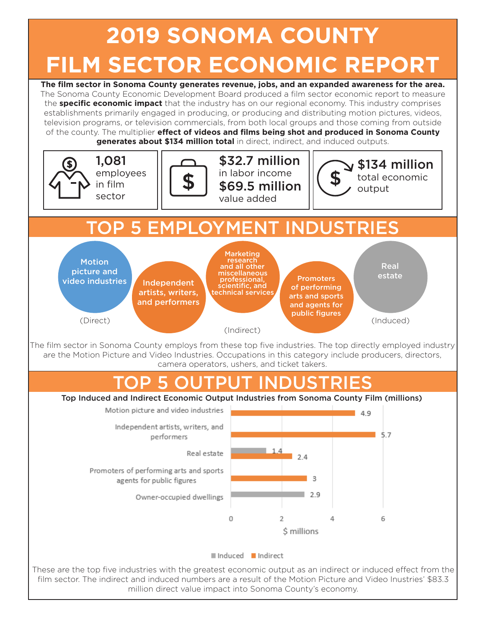## **2019 SONOMA COUNTY FILM SECTOR ECONOMIC REPORT**